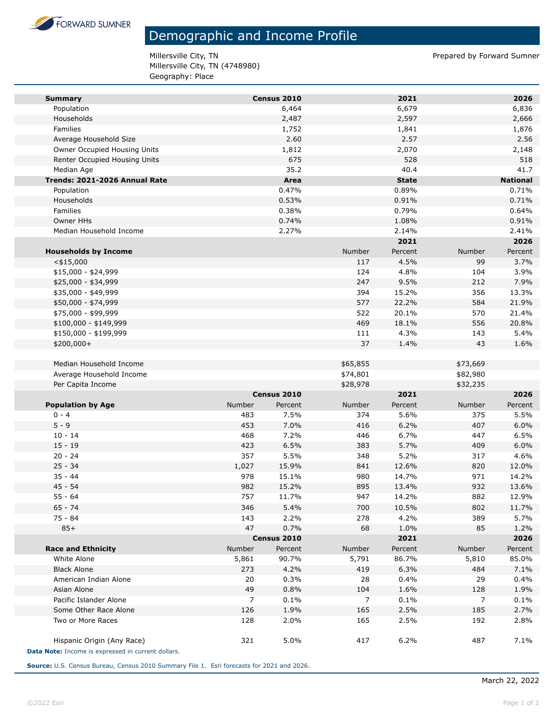

## Demographic and Income Profile

Millersville City, TN **Prepared by Forward Sumner** Millersville City, TN (4748980) Geography: Place

| <b>Summary</b>                                     |        | Census 2010 |          | 2021         |                | 2026            |
|----------------------------------------------------|--------|-------------|----------|--------------|----------------|-----------------|
| Population                                         |        | 6,464       |          | 6,679        |                | 6,836           |
| Households                                         |        | 2,487       |          | 2,597        |                | 2,666           |
| Families                                           |        | 1,752       |          | 1,841        |                | 1,876           |
| Average Household Size                             |        | 2.60        |          | 2.57         |                | 2.56            |
| Owner Occupied Housing Units                       |        | 1,812       |          | 2,070        |                | 2,148           |
| Renter Occupied Housing Units                      |        | 675         |          | 528          |                | 518             |
| Median Age                                         |        | 35.2        |          | 40.4         |                | 41.7            |
| Trends: 2021-2026 Annual Rate                      |        | Area        |          | <b>State</b> |                | <b>National</b> |
| Population                                         |        | 0.47%       |          | 0.89%        |                | 0.71%           |
| Households                                         |        | 0.53%       |          | 0.91%        |                | 0.71%           |
| Families                                           |        | 0.38%       |          | 0.79%        |                | 0.64%           |
| <b>Owner HHs</b>                                   |        | 0.74%       |          | 1.08%        |                | 0.91%           |
| Median Household Income                            |        | 2.27%       |          | 2.14%        |                | 2.41%           |
|                                                    |        |             |          | 2021         |                | 2026            |
| <b>Households by Income</b>                        |        |             | Number   | Percent      | Number         | Percent         |
| $<$ \$15,000                                       |        |             | 117      | 4.5%         | 99             | 3.7%            |
| $$15,000 - $24,999$                                |        |             | 124      | 4.8%         | 104            | 3.9%            |
| \$25,000 - \$34,999                                |        |             | 247      | 9.5%         | 212            | 7.9%            |
| \$35,000 - \$49,999                                |        |             | 394      | 15.2%        | 356            | 13.3%           |
| \$50,000 - \$74,999                                |        |             | 577      | 22.2%        | 584            | 21.9%           |
| \$75,000 - \$99,999                                |        |             | 522      | 20.1%        | 570            | 21.4%           |
| \$100,000 - \$149,999                              |        |             | 469      | 18.1%        | 556            | 20.8%           |
| \$150,000 - \$199,999                              |        |             | 111      | 4.3%         | 143            | 5.4%            |
|                                                    |        |             | 37       | 1.4%         | 43             | 1.6%            |
| \$200,000+                                         |        |             |          |              |                |                 |
| Median Household Income                            |        |             | \$65,855 |              | \$73,669       |                 |
| Average Household Income                           |        |             | \$74,801 |              | \$82,980       |                 |
| Per Capita Income                                  |        |             | \$28,978 |              | \$32,235       |                 |
|                                                    |        | Census 2010 |          | 2021         |                | 2026            |
| <b>Population by Age</b>                           | Number | Percent     | Number   | Percent      | Number         | Percent         |
| $0 - 4$                                            | 483    | 7.5%        | 374      | 5.6%         | 375            | 5.5%            |
| $5 - 9$                                            | 453    | 7.0%        | 416      | 6.2%         | 407            | 6.0%            |
| $10 - 14$                                          | 468    | 7.2%        | 446      | 6.7%         | 447            | 6.5%            |
| $15 - 19$                                          | 423    | 6.5%        | 383      | 5.7%         | 409            | 6.0%            |
| $20 - 24$                                          | 357    | 5.5%        | 348      | 5.2%         | 317            | 4.6%            |
| $25 - 34$                                          | 1,027  | 15.9%       | 841      | 12.6%        | 820            | 12.0%           |
| $35 - 44$                                          | 978    | 15.1%       | 980      | 14.7%        | 971            | 14.2%           |
| $45 - 54$                                          | 982    | 15.2%       | 895      | 13.4%        | 932            | 13.6%           |
| $55 - 64$                                          | 757    | 11.7%       | 947      | 14.2%        | 882            | 12.9%           |
| $65 - 74$                                          | 346    | 5.4%        | 700      | 10.5%        | 802            | 11.7%           |
| 75 - 84                                            | 143    | 2.2%        | 278      | 4.2%         | 389            | 5.7%            |
| $85+$                                              | 47     | 0.7%        | 68       | 1.0%         | 85             | 1.2%            |
|                                                    |        | Census 2010 |          | 2021         |                | 2026            |
| <b>Race and Ethnicity</b>                          | Number | Percent     | Number   | Percent      | Number         | Percent         |
| White Alone                                        | 5,861  | 90.7%       | 5,791    | 86.7%        | 5,810          | 85.0%           |
| <b>Black Alone</b>                                 | 273    | 4.2%        | 419      | 6.3%         | 484            | 7.1%            |
| American Indian Alone                              | 20     | 0.3%        | 28       | 0.4%         | 29             | 0.4%            |
| Asian Alone                                        | 49     | 0.8%        | 104      | 1.6%         | 128            | 1.9%            |
| Pacific Islander Alone                             | 7      | 0.1%        | 7        | 0.1%         | $\overline{7}$ | 0.1%            |
| Some Other Race Alone                              | 126    | 1.9%        | 165      | 2.5%         | 185            | 2.7%            |
| Two or More Races                                  | 128    | 2.0%        | 165      | 2.5%         | 192            | 2.8%            |
|                                                    |        |             |          |              |                |                 |
| Hispanic Origin (Any Race)                         | 321    | 5.0%        | 417      | 6.2%         | 487            | 7.1%            |
| Data Note: Income is expressed in current dollars. |        |             |          |              |                |                 |

**Source:** U.S. Census Bureau, Census 2010 Summary File 1. Esri forecasts for 2021 and 2026.